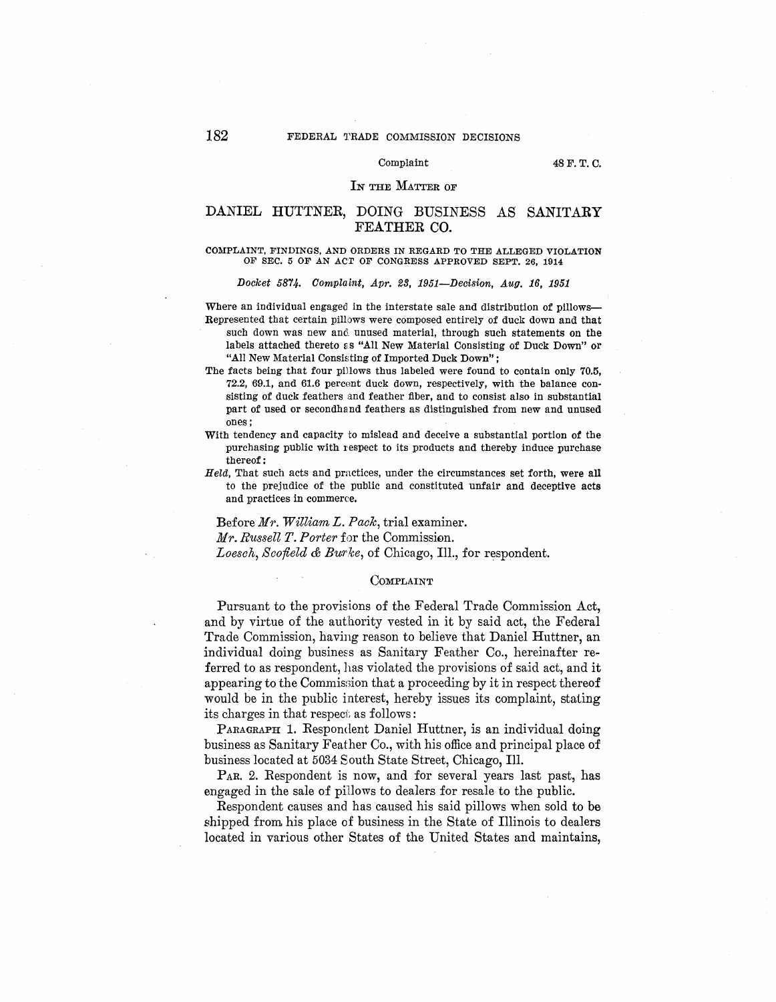### Complaint 48F.T. C.

## IN THE MATTER OF

# DANIEL HUTTNER, DOING BUSINESS AS SANITARY FEATHER CO.

### COMPLAINT, FINDINGS, AND ORDERS IN REGARD TO THE ALLEGED VIOLATION OF SEC. 5 OF AN ACT OF CONGRESS APPROVED SEPT. 26, 1914

Docket 5874. Complaint, Apr. 23, 1951-Decision, Aug. 16, 1951

Where an individual engaged in the interstate sale and distribution of pillows-Represented that certain pillows were composed entirely of duck down and that

- such down was new and unused material, through such statements on the labels attached thereto as "All New Material Consisting of Duck Down" or "All New Material Consisting of Imported Duck Down";
- The facts being that four pillows thus labeled were found to contain only 70.5, 72.2, 69.1, and 61.6 percent duck down, respectively, with the balance consisting of duck feathers and feather fiber, and to consist also in substantial part of used or secondhand feathers as distinguished from new and unused ones;
- With tendency and capacity to mislead and deceive a substantial portion of the purchasing public with respect to its products and thereby induce purchase thereof:
- Held, That such acts and practices, under the circumstances set forth, were all to the prejudice of the public and constituted unfair and deceptive acts and practices in commerce.

Before *Mr. William L. Pack,* trial examiner. *Mr. Russell T. Porter* for the Commission. *Loesch, Scofield & Burlce,* of Chicago, Ill., for respondent.

### COMPLAINT

Pursuant to the provisions of the Federal Trade Commission Act, and by virtue of the authority vested in it by said act, the Federal Trade Commission, having reason to believe that Daniel Huttner, an individual doing business as Sanitary Feather Co., hereinafter referred to as respondent, has violated the provisions of said act, and it appearing to the Commission that a proceeding by it in respect thereof would be in the public interest, hereby issues its complaint, stating its charges in that respect as follows :

PARAGRAPH 1. Respondent Daniel Huttner, is an individual doing business as Sanitary Feather Co., with his office and principal place of business located at 5034 South State Street, Chicago, Ill.

PAR. 2. Respondent is now, and for several years last past, has engaged in the sale of pillows to dealers for resale to the public.

Respondent causes and has caused his said pillows when sold to be shipped from his place of business in the State of Illinois to dealers located in various other States of the United States and maintains,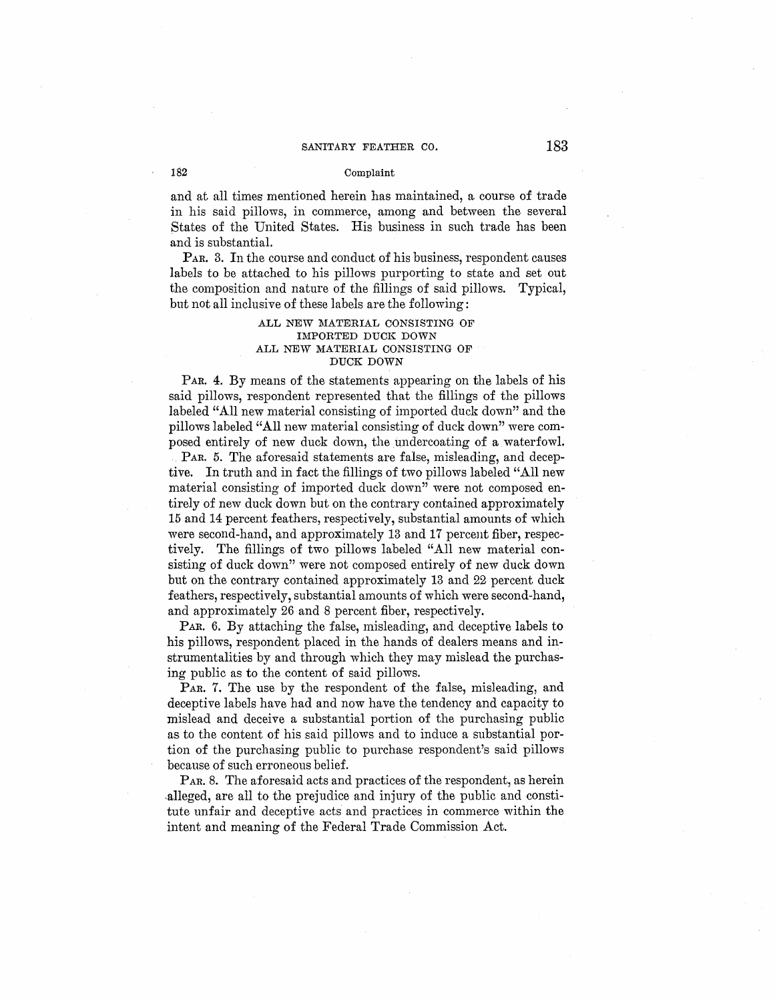## SANITARY FEATHER CO. 183

## 182 Complaint

and at all times mentioned herein has maintained, a course of trade in his said pillows, in commerce, among and between the several States of the United States. His business in such trade has been and is substantial.

PAR. 3. In the course and conduct of his business, respondent causes labels to be attached to his pillows purporting to state and set out the composition and nature of the fillings of said pillows. Typical, but not all inclusive of these labels are the following:

## **ALL NEW MATERIAL CONSISTING OF IMPORTED DUCK DOWN ALL NEW MATERIAL CONSISTING OF DUCK DOWN**

PAR. 4. By means of the statements appearing on the labels of his said pillows, respondent represented that the fillings of the pillows labeled "All new material consisting of imported duck down" and the pillows labeled "All new material consisting of duck down" were composed entirely of new duck down, the undercoating of a waterfowl.

PAR. 5. The aforesaid statements are false, misleading, and deceptive. In truth and in fact the fillings of two pillows labeled "All new material consisting of imported duck down" were not composed entirely of new duck down but on the contrary contained approximately 15 and 14 percent feathers, respectively, substantial amounts of which were second-hand, and approximately 13 and 17 percent fiber, respectively. The fillings of two pillows labeled "All new material consisting of duck down" were not composed entirely of new duck down but on the contrary contained approximately 13 and 22 percent duck feathers, respectively, substantial amounts of which were second-hand, and approximately 26 and 8 percent fiber, respectively.

PAR. 6. By attaching the false, misleading, and deceptive labels to his pillows, respondent placed in the hands of dealers means and instrumentalities by and through which they may mislead the purchasing public as to the content of said pillows.

PAR. 7. The use by the respondent of the false, misleading, and deceptive labels have had and now have the tendency and capacity to mislead and deceive a substantial portion of the purchasing public as to the content of his said pillows and to induce a substantial portion of the purchasing public to purchase respondent's said pillows because of such erroneous belief.

PAR. 8. The aforesaid acts and practices of the respondent, as herein ,alleged, are all to the prejudice and injury of the public and constitute unfair and deceptive acts and practices in commerce within the intent and meaning of the Federal Trade Commission Act.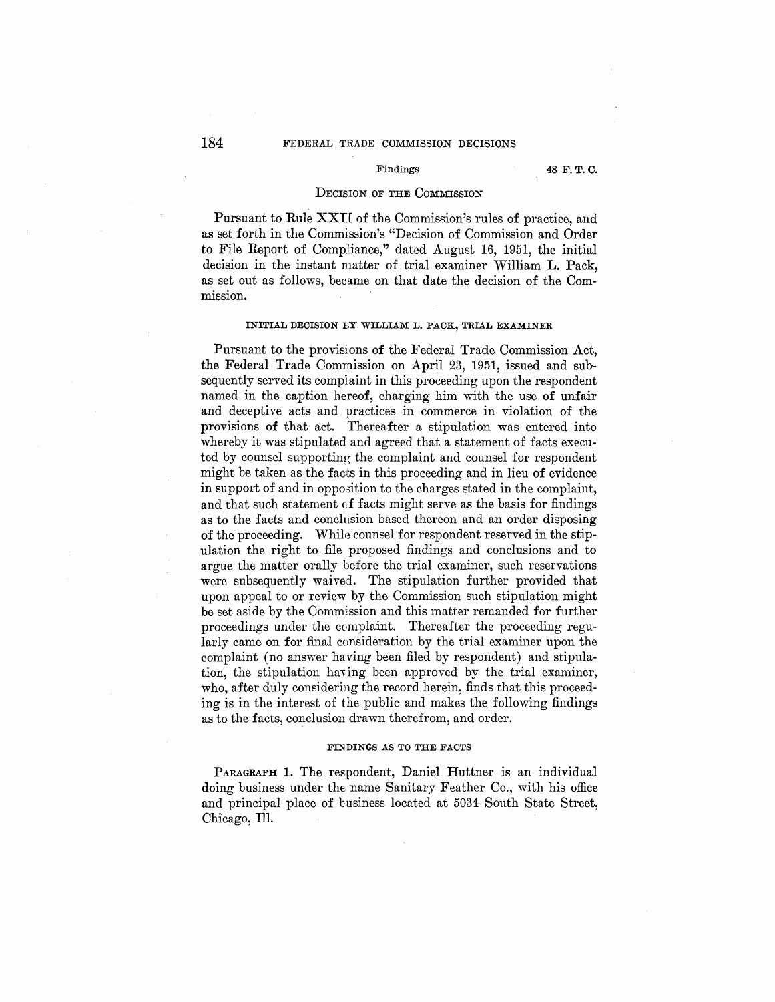## **184** FEDERAL TRADE COMMISSION DECISIONS

Findings 48 F.T.C.

### DECISION OF THE COMMISSION

Pursuant to Rule XXII of the Commission's rules of practice, and as set forth in the Commission's "Decision of Commission and Order to File Report of Compiiance," dated August 16, 1951, the initial decision in the instant matter of trial examiner William L. Pack, as set out as follows, became on that date the decision of the Commission.

### **INITIAL DECISION BY WILLIAM L. PACK, TRIAL EXAMINER**

Pursuant to the provisions of the Federal Trade Commission Act, the Federal Trade Commission on April 23, 1951, issued and subsequently served its complaint in this proceeding upon the respondent named in the caption hereof, charging him with the use of unfair and deceptive acts and practices in commerce in violation of the provisions of that act. Thereafter a stipulation was entered into whereby it was stipulated and agreed that a statement of facts executed by counsel supporting the complaint and counsel for respondent might be taken as the facts in this proceeding and in lieu of evidence in support of and in opposition to the charges stated in the complaint, and that such statement of facts might serve as the basis for findings as to the facts and conclnsion based thereon and an order disposing of the proceeding. "While counsel for respondent reserved in the stipulation the right to file proposed findings and conclusions and to argue the matter orally before the trial examiner, such reservations were subsequently waived. The stipulation further provided that upon appeal to or review by the Commission such stipulation might be set aside by the Commission and this matter remanded for further proceedings under the complaint. Thereafter the proceeding regularly came on for final consideration by the trial examiner upon the complaint (no answer having been filed by respondent) and stipulation, the stipulation having been approved by the trial examiner, who, after duly considering the record herein, finds that this proceeding is in the interest of the public and makes the following findings as to the facts, conclusion drawn therefrom, and order.

### **FINDINGS AS TO THE FACTS**

PARAGRAPH 1. The respondent, Daniel Huttner is an individual doing business under the name Sanitary Feather Co., with his office and principal place of business located at 5034 South State Street, Chicago, Ill.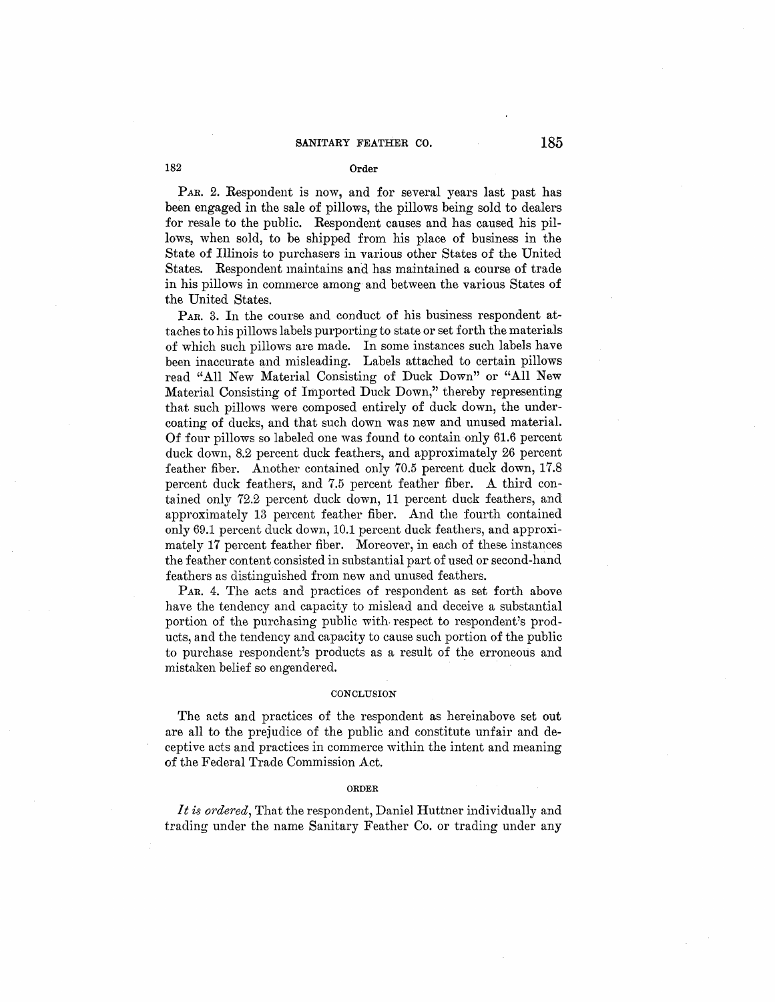## **182 Order**

PAR. 2. Respondent is now, and for several years last past has been engaged in the sale of pillows, the pillows being sold to dealers for resale to the public. Respondent causes and has caused his pillows, when sold, to be shipped from his place of business in the State of Illinois to purchasers in various other States of the United States. Respondent maintains and has maintained a course of trade in his pillows in commerce among and between the various States of the United States.

PAR. 3. In the course and conduct of his business respondent attaches to his pillows labels purporting to state or set forth the materials of which such pillows are made. In some instances such labels have been inaccurate and misleading. Labels attached to certain pillows read "All New Material Consisting of Duck Down" or "All New Material Consisting of Imported Duck Down," thereby representing that such pillows were composed entirely of duck down, the undercoating of ducks, and that such down was new and unused material. Of four pillows so labeled one was found to contain only 61.6 percent duck down, 8.2 percent duck feathers, and approximately 26 percent feather fiber. Another contained only 70.5 percent duck down, 17.8 percent duck feathers, and 7.5 percent feather fiber. A third contained only 72.2 percent duck down, 11 percent duck feathers, and approximately 13 percent feather fiber. And the fourth contained only 69.1 percent duck down, 10.1 percent duck feathers, and approximately 17 percent feather fiber. Moreover, in each of these instances the feather content consisted in substantial part of used or second-hand feathers as distinguished from new and unused feathers.

PAR. 4. The acts and practices of respondent as set forth above have the tendency and capacity to mislead and deceive a substantial portion of the purchasing public with- respect to respondent's products, and the tendency and capacity to cause such portion of the public to purchase respondent's products as a result of the erroneous and mistaken belief so engendered.

### **CONCLUSION**

The acts and practices of the respondent as hereinabove set out are all to the prejudice of the public and constitute unfair and deceptive acts and practices in commerce within the intent and meaning of the Federal Trade Commission Act.

### **ORDER**

*It is ordered,* That the respondent, Daniel Huttner individually and trading under the name Sanitary Feather Co. or trading under any